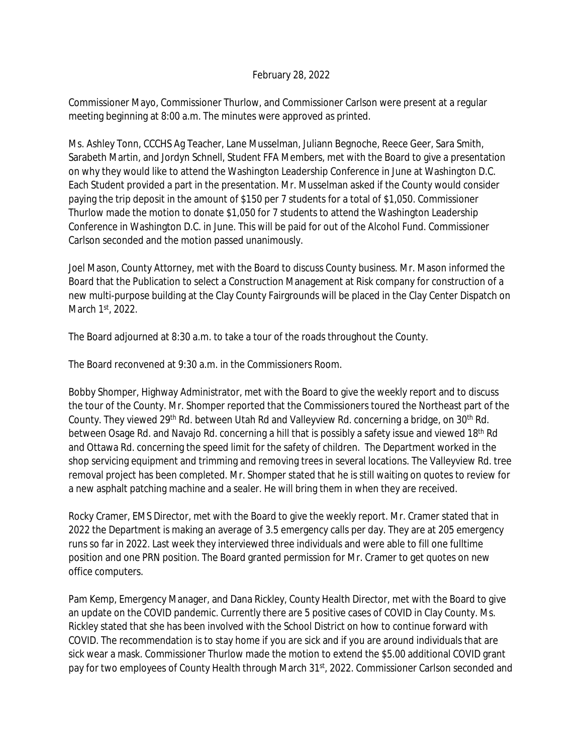## February 28, 2022

Commissioner Mayo, Commissioner Thurlow, and Commissioner Carlson were present at a regular meeting beginning at 8:00 a.m. The minutes were approved as printed.

Ms. Ashley Tonn, CCCHS Ag Teacher, Lane Musselman, Juliann Begnoche, Reece Geer, Sara Smith, Sarabeth Martin, and Jordyn Schnell, Student FFA Members, met with the Board to give a presentation on why they would like to attend the Washington Leadership Conference in June at Washington D.C. Each Student provided a part in the presentation. Mr. Musselman asked if the County would consider paying the trip deposit in the amount of \$150 per 7 students for a total of \$1,050. Commissioner Thurlow made the motion to donate \$1,050 for 7 students to attend the Washington Leadership Conference in Washington D.C. in June. This will be paid for out of the Alcohol Fund. Commissioner Carlson seconded and the motion passed unanimously.

Joel Mason, County Attorney, met with the Board to discuss County business. Mr. Mason informed the Board that the Publication to select a Construction Management at Risk company for construction of a new multi-purpose building at the Clay County Fairgrounds will be placed in the Clay Center Dispatch on March 1st, 2022.

The Board adjourned at 8:30 a.m. to take a tour of the roads throughout the County.

The Board reconvened at 9:30 a.m. in the Commissioners Room.

Bobby Shomper, Highway Administrator, met with the Board to give the weekly report and to discuss the tour of the County. Mr. Shomper reported that the Commissioners toured the Northeast part of the County. They viewed 29<sup>th</sup> Rd. between Utah Rd and Valleyview Rd. concerning a bridge, on 30<sup>th</sup> Rd. between Osage Rd. and Navajo Rd. concerning a hill that is possibly a safety issue and viewed 18<sup>th</sup> Rd and Ottawa Rd. concerning the speed limit for the safety of children. The Department worked in the shop servicing equipment and trimming and removing trees in several locations. The Valleyview Rd. tree removal project has been completed. Mr. Shomper stated that he is still waiting on quotes to review for a new asphalt patching machine and a sealer. He will bring them in when they are received.

Rocky Cramer, EMS Director, met with the Board to give the weekly report. Mr. Cramer stated that in 2022 the Department is making an average of 3.5 emergency calls per day. They are at 205 emergency runs so far in 2022. Last week they interviewed three individuals and were able to fill one fulltime position and one PRN position. The Board granted permission for Mr. Cramer to get quotes on new office computers.

Pam Kemp, Emergency Manager, and Dana Rickley, County Health Director, met with the Board to give an update on the COVID pandemic. Currently there are 5 positive cases of COVID in Clay County. Ms. Rickley stated that she has been involved with the School District on how to continue forward with COVID. The recommendation is to stay home if you are sick and if you are around individuals that are sick wear a mask. Commissioner Thurlow made the motion to extend the \$5.00 additional COVID grant pay for two employees of County Health through March 31<sup>st</sup>, 2022. Commissioner Carlson seconded and